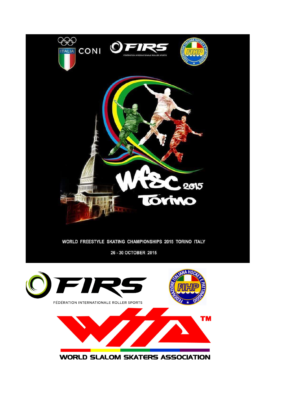